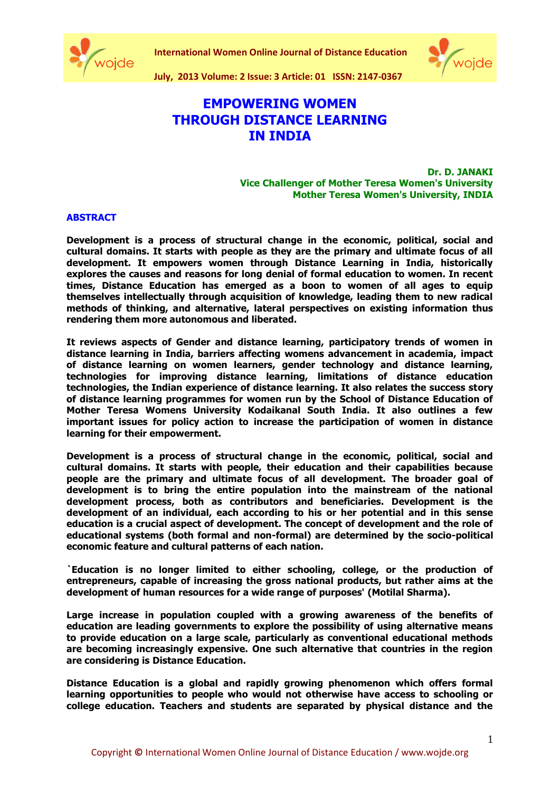

**International Women Online Journal of Distance Education**



**July, 2013 Volume: 2 Issue: 3 Article: 01 ISSN: 2147-0367**

## **EMPOWERING WOMEN THROUGH DISTANCE LEARNING IN INDIA**

**[Dr. D. JANAKI](mailto:atwunivc@yahoo.co.in) Vice Challenger of Mother Teresa Women's University Mother Teresa Women's University, INDIA**

## **ABSTRACT**

**Development is a process of structural change in the economic, political, social and cultural domains. It starts with people as they are the primary and ultimate focus of all development. It empowers women through Distance Learning in India, historically explores the causes and reasons for long denial of formal education to women. In recent times, Distance Education has emerged as a boon to women of all ages to equip themselves intellectually through acquisition of knowledge, leading them to new radical methods of thinking, and alternative, lateral perspectives on existing information thus rendering them more autonomous and liberated.**

**It reviews aspects of Gender and distance learning, participatory trends of women in distance learning in India, barriers affecting womens advancement in academia, impact of distance learning on women learners, gender technology and distance learning, technologies for improving distance learning, limitations of distance education technologies, the Indian experience of distance learning. It also relates the success story of distance learning programmes for women run by the School of Distance Education of Mother Teresa Womens University Kodaikanal South India. It also outlines a few important issues for policy action to increase the participation of women in distance learning for their empowerment.**

**Development is a process of structural change in the economic, political, social and cultural domains. It starts with people, their education and their capabilities because people are the primary and ultimate focus of all development. The broader goal of development is to bring the entire population into the mainstream of the national development process, both as contributors and beneficiaries. Development is the development of an individual, each according to his or her potential and in this sense education is a crucial aspect of development. The concept of development and the role of educational systems (both formal and non-formal) are determined by the socio-political economic feature and cultural patterns of each nation.** 

**`Education is no longer limited to either schooling, college, or the production of entrepreneurs, capable of increasing the gross national products, but rather aims at the development of human resources for a wide range of purposes' (Motilal Sharma).**

**Large increase in population coupled with a growing awareness of the benefits of education are leading governments to explore the possibility of using alternative means to provide education on a large scale, particularly as conventional educational methods are becoming increasingly expensive. One such alternative that countries in the region are considering is Distance Education.** 

**Distance Education is a global and rapidly growing phenomenon which offers formal learning opportunities to people who would not otherwise have access to schooling or college education. Teachers and students are separated by physical distance and the**